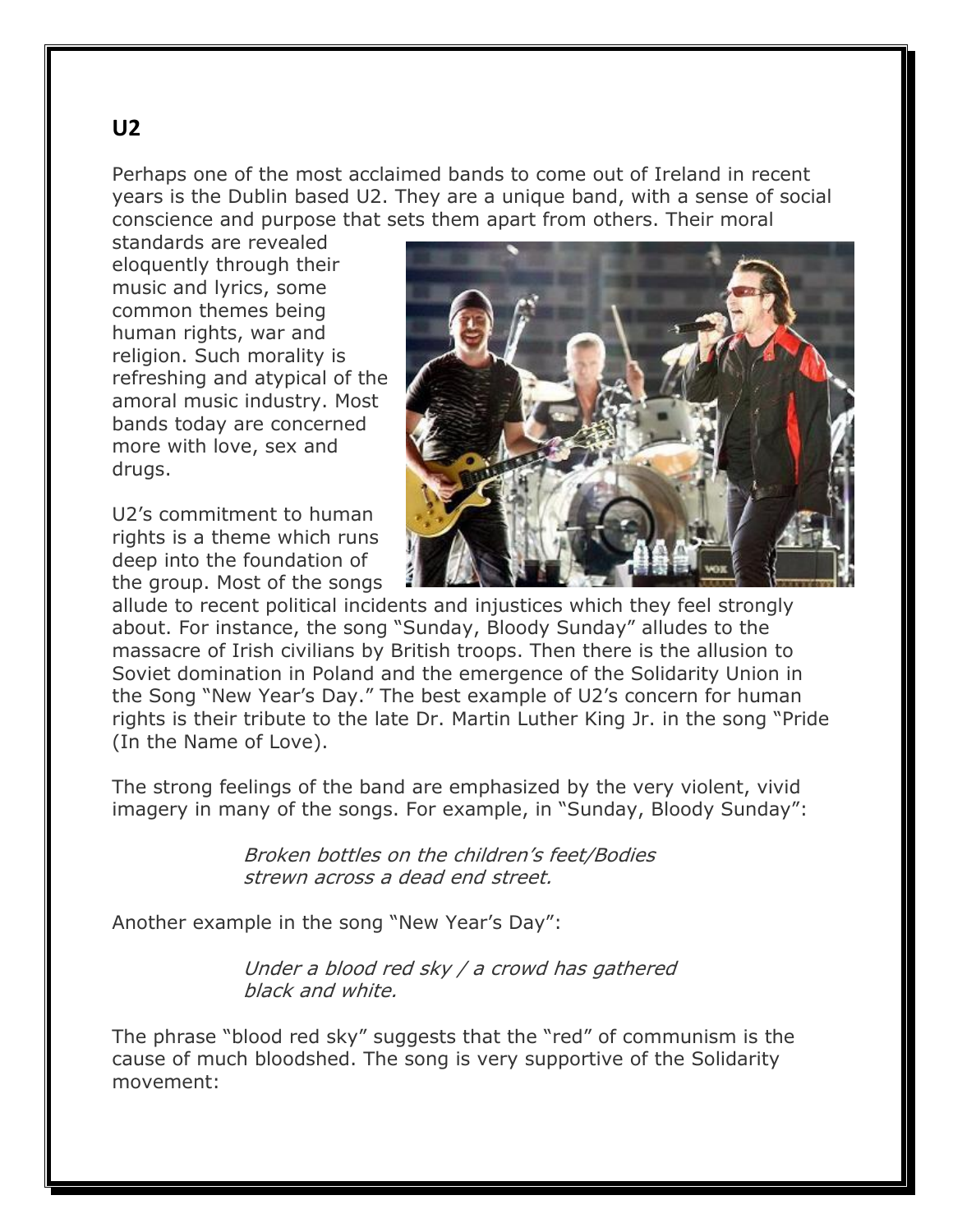Perhaps one of the most acclaimed bands to come out of Ireland in recent years is the Dublin based U2. They are a unique band, with a sense of social conscience and purpose that sets them apart from others. Their moral

standards are revealed eloquently through their music and lyrics, some common themes being human rights, war and religion. Such morality is refreshing and atypical of the amoral music industry. Most bands today are concerned more with love, sex and drugs.

U2's commitment to human rights is a theme which runs deep into the foundation of the group. Most of the songs



allude to recent political incidents and injustices which they feel strongly about. For instance, the song "Sunday, Bloody Sunday" alludes to the massacre of Irish civilians by British troops. Then there is the allusion to Soviet domination in Poland and the emergence of the Solidarity Union in the Song "New Year's Day." The best example of U2's concern for human rights is their tribute to the late Dr. Martin Luther King Jr. in the song "Pride (In the Name of Love).

The strong feelings of the band are emphasized by the very violent, vivid imagery in many of the songs. For example, in "Sunday, Bloody Sunday":

> Broken bottles on the children's feet/Bodies strewn across a dead end street.

Another example in the song "New Year's Day":

 Under a blood red sky / a crowd has gathered black and white.

The phrase "blood red sky" suggests that the "red" of communism is the cause of much bloodshed. The song is very supportive of the Solidarity movement: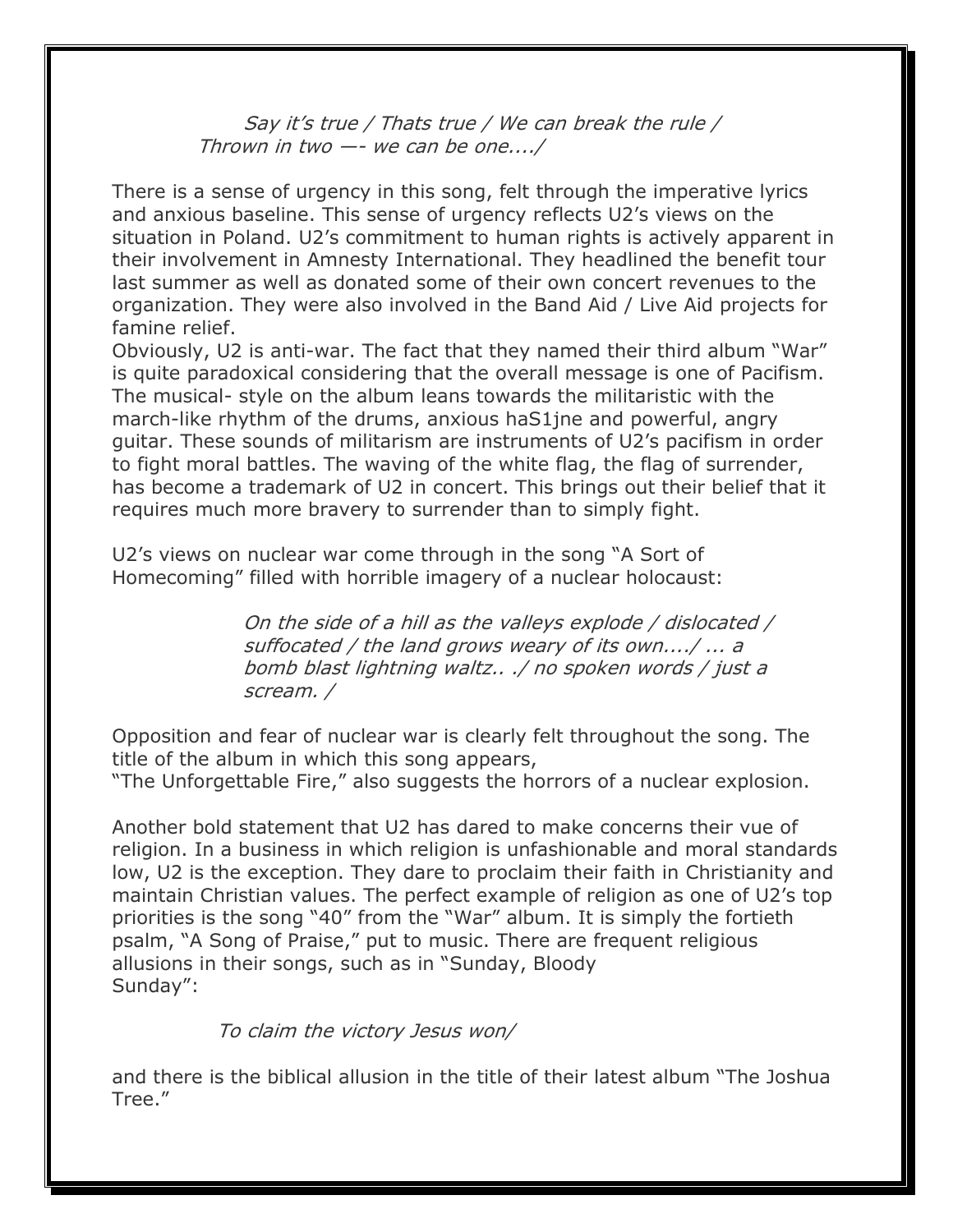## Say it's true / Thats true / We can break the rule / Thrown in two —- we can be one..../

There is a sense of urgency in this song, felt through the imperative lyrics and anxious baseline. This sense of urgency reflects U2's views on the situation in Poland. U2's commitment to human rights is actively apparent in their involvement in Amnesty International. They headlined the benefit tour last summer as well as donated some of their own concert revenues to the organization. They were also involved in the Band Aid / Live Aid projects for famine relief.

Obviously, U2 is anti-war. The fact that they named their third album "War" is quite paradoxical considering that the overall message is one of Pacifism. The musical- style on the album leans towards the militaristic with the march-like rhythm of the drums, anxious haS1jne and powerful, angry guitar. These sounds of militarism are instruments of U2's pacifism in order to fight moral battles. The waving of the white flag, the flag of surrender, has become a trademark of U2 in concert. This brings out their belief that it requires much more bravery to surrender than to simply fight.

U2's views on nuclear war come through in the song "A Sort of Homecoming" filled with horrible imagery of a nuclear holocaust:

> On the side of a hill as the valleys explode / dislocated / suffocated / the land grows weary of its own..../ ... a bomb blast lightning waltz.. ./ no spoken words / just a scream. /

Opposition and fear of nuclear war is clearly felt throughout the song. The title of the album in which this song appears, "The Unforgettable Fire," also suggests the horrors of a nuclear explosion.

Another bold statement that U2 has dared to make concerns their vue of religion. In a business in which religion is unfashionable and moral standards low, U2 is the exception. They dare to proclaim their faith in Christianity and maintain Christian values. The perfect example of religion as one of U2's top priorities is the song "40" from the "War" album. It is simply the fortieth psalm, "A Song of Praise," put to music. There are frequent religious allusions in their songs, such as in "Sunday, Bloody Sunday":

To claim the victory Jesus won/

and there is the biblical allusion in the title of their latest album "The Joshua Tree."